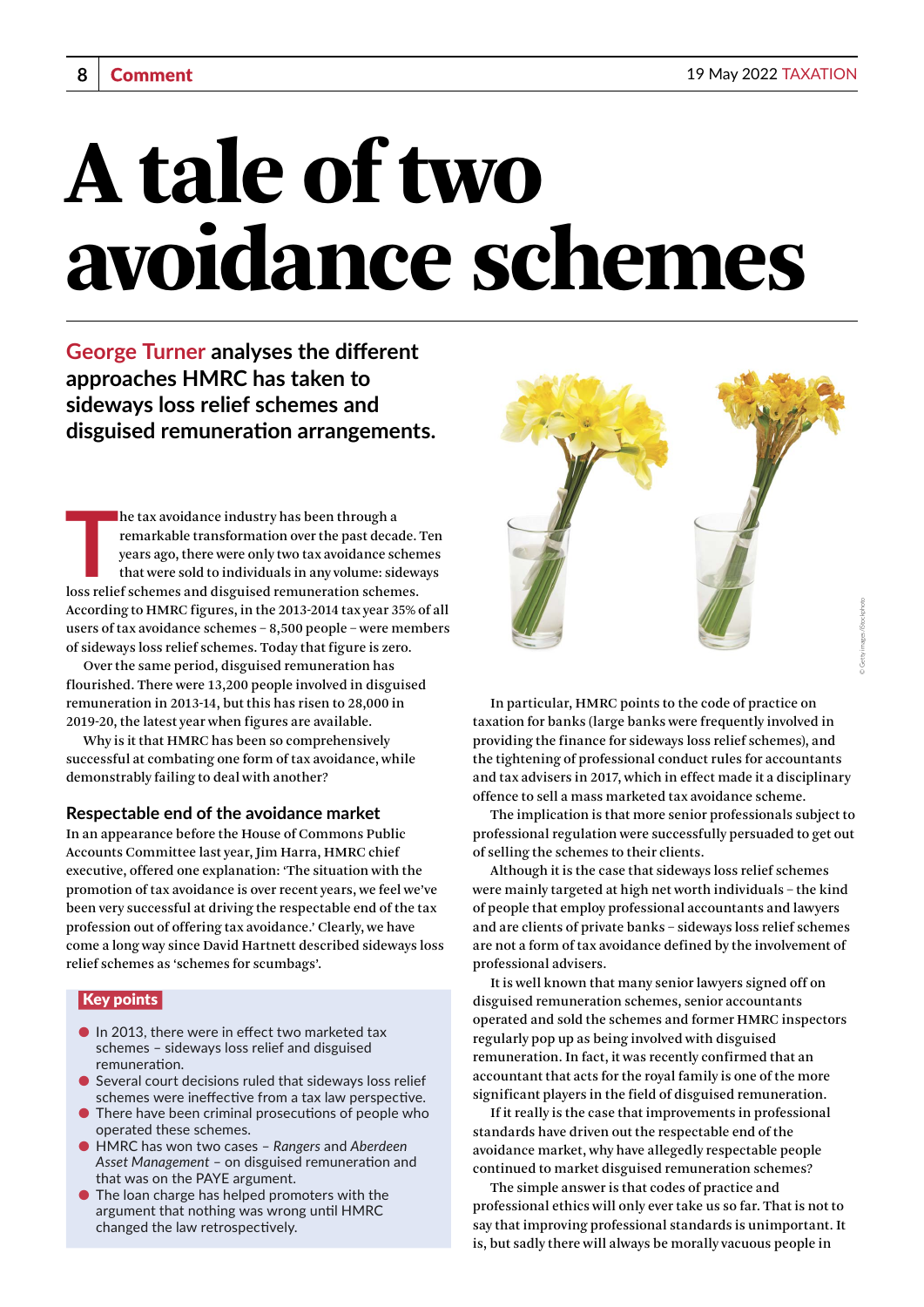# A tale of two avoidance schemes

**George Turner analyses the different approaches HMRC has taken to sideways loss relief schemes and disguised remuneration arrangements.**

**THE SET SET SCHEM SCHOCE SCHEMENT SCHEMENT SCHEMENT SCHEMENT SCHEMES AND SERVIDE SCHEMENT SCHEMENT SCHEMENT SCHEMES AND LOSS relief schemes and disguised remuneration schemes.** he tax avoidance industry has been through a remarkable transformation over the past decade. Ten years ago, there were only two tax avoidance schemes that were sold to individuals in any volume: sideways According to HMRC figures, in the 2013-2014 tax year 35% of all users of tax avoidance schemes – 8,500 people – were members of sideways loss relief schemes. Today that figure is zero.

Over the same period, disguised remuneration has flourished. There were 13,200 people involved in disguised remuneration in 2013-14, but this has risen to 28,000 in 2019-20, the latest year when figures are available.

Why is it that HMRC has been so comprehensively successful at combating one form of tax avoidance, while demonstrably failing to deal with another?

### **Respectable end of the avoidance market**

In an appearance before the House of Commons Public Accounts Committee last year, Jim Harra, HMRC chief executive, offered one explanation: 'The situation with the promotion of tax avoidance is over recent years, we feel we've been very successful at driving the respectable end of the tax profession out of offering tax avoidance.' Clearly, we have come a long way since David Hartnett described sideways loss relief schemes as 'schemes for scumbags'.

### Key points

- $\bullet$  In 2013, there were in effect two marketed tax schemes – sideways loss relief and disguised remuneration.
- $\bullet$  Several court decisions ruled that sideways loss relief schemes were ineffective from a tax law perspective.
- There have been criminal prosecutions of people who operated these schemes.
- HMRC has won two cases *Rangers* and *Aberdeen Asset Management* – on disguised remuneration and that was on the PAYE argument.
- The loan charge has helped promoters with the argument that nothing was wrong until HMRC changed the law retrospectively.



In particular, HMRC points to the code of practice on taxation for banks (large banks were frequently involved in providing the finance for sideways loss relief schemes), and the tightening of professional conduct rules for accountants and tax advisers in 2017, which in effect made it a disciplinary offence to sell a mass marketed tax avoidance scheme.

The implication is that more senior professionals subject to professional regulation were successfully persuaded to get out of selling the schemes to their clients.

Although it is the case that sideways loss relief schemes were mainly targeted at high net worth individuals – the kind of people that employ professional accountants and lawyers and are clients of private banks – sideways loss relief schemes are not a form of tax avoidance defined by the involvement of professional advisers.

It is well known that many senior lawyers signed off on disguised remuneration schemes, senior accountants operated and sold the schemes and former HMRC inspectors regularly pop up as being involved with disguised remuneration. In fact, it was recently confirmed that an accountant that acts for the royal family is one of the more significant players in the field of disguised remuneration.

If it really is the case that improvements in professional standards have driven out the respectable end of the avoidance market, why have allegedly respectable people continued to market disguised remuneration schemes?

The simple answer is that codes of practice and professional ethics will only ever take us so far. That is not to say that improving professional standards is unimportant. It is, but sadly there will always be morally vacuous people in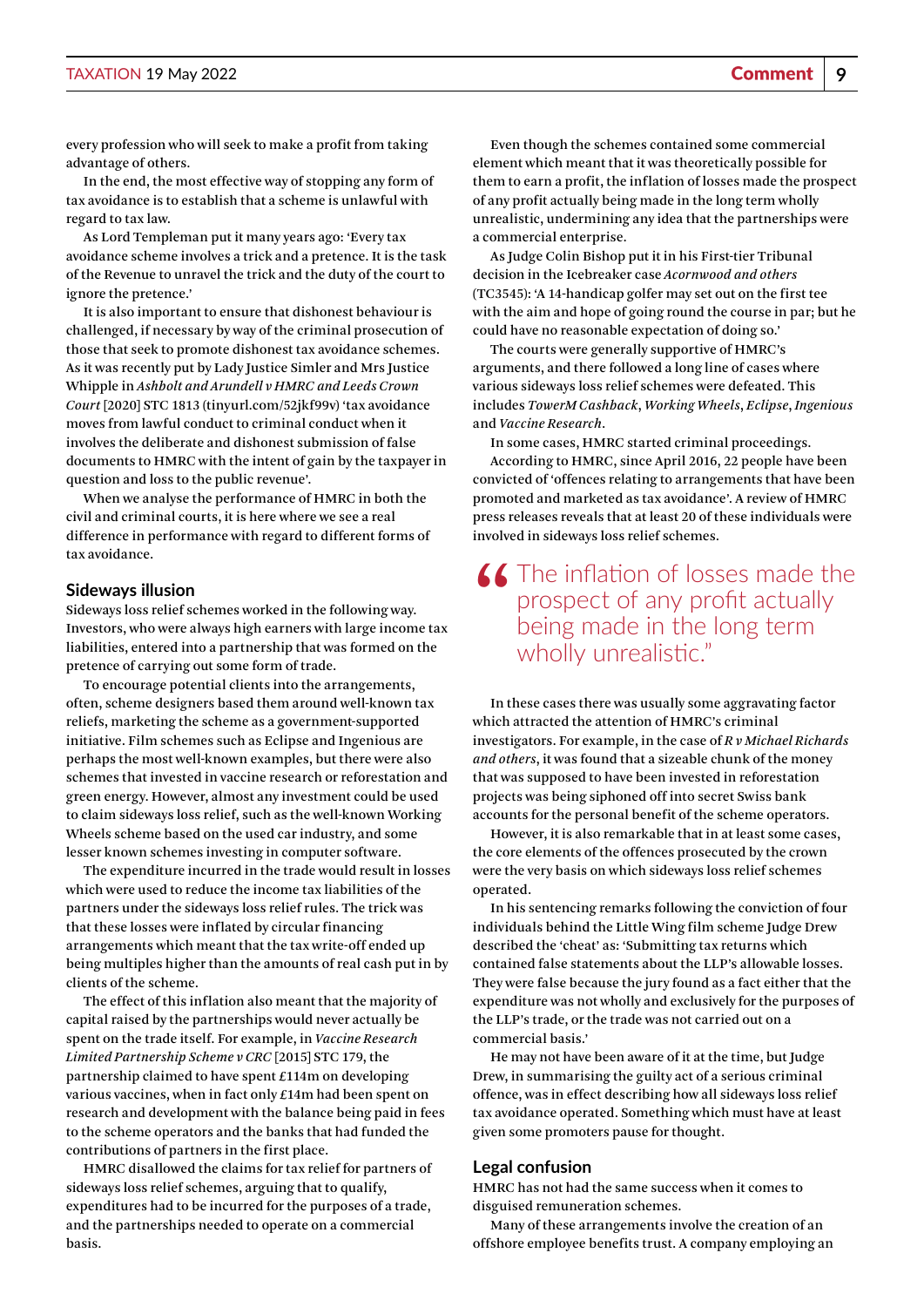every profession who will seek to make a profit from taking advantage of others.

In the end, the most effective way of stopping any form of tax avoidance is to establish that a scheme is unlawful with regard to tax law.

As Lord Templeman put it many years ago: 'Every tax avoidance scheme involves a trick and a pretence. It is the task of the Revenue to unravel the trick and the duty of the court to ignore the pretence.'

It is also important to ensure that dishonest behaviour is challenged, if necessary by way of the criminal prosecution of those that seek to promote dishonest tax avoidance schemes. As it was recently put by Lady Justice Simler and Mrs Justice Whipple in *Ashbolt and Arundell v HMRC and Leeds Crown Court* [2020] STC 1813 [\(tinyurl.com/52jkf99v](http://tinyurl.com/52jkf99v)) 'tax avoidance moves from lawful conduct to criminal conduct when it involves the deliberate and dishonest submission of false documents to HMRC with the intent of gain by the taxpayer in question and loss to the public revenue'.

When we analyse the performance of HMRC in both the civil and criminal courts, it is here where we see a real difference in performance with regard to different forms of tax avoidance.

### **Sideways illusion**

Sideways loss relief schemes worked in the following way. Investors, who were always high earners with large income tax liabilities, entered into a partnership that was formed on the pretence of carrying out some form of trade.

To encourage potential clients into the arrangements, often, scheme designers based them around well-known tax reliefs, marketing the scheme as a government-supported initiative. Film schemes such as Eclipse and Ingenious are perhaps the most well-known examples, but there were also schemes that invested in vaccine research or reforestation and green energy. However, almost any investment could be used to claim sideways loss relief, such as the well-known Working Wheels scheme based on the used car industry, and some lesser known schemes investing in computer software.

The expenditure incurred in the trade would result in losses which were used to reduce the income tax liabilities of the partners under the sideways loss relief rules. The trick was that these losses were inflated by circular financing arrangements which meant that the tax write-off ended up being multiples higher than the amounts of real cash put in by clients of the scheme.

The effect of this inflation also meant that the majority of capital raised by the partnerships would never actually be spent on the trade itself. For example, in *Vaccine Research Limited Partnership Scheme v CRC* [2015] STC 179, the partnership claimed to have spent £114m on developing various vaccines, when in fact only £14m had been spent on research and development with the balance being paid in fees to the scheme operators and the banks that had funded the contributions of partners in the first place.

HMRC disallowed the claims for tax relief for partners of sideways loss relief schemes, arguing that to qualify, expenditures had to be incurred for the purposes of a trade, and the partnerships needed to operate on a commercial basis.

Even though the schemes contained some commercial element which meant that it was theoretically possible for them to earn a profit, the inflation of losses made the prospect of any profit actually being made in the long term wholly unrealistic, undermining any idea that the partnerships were a commercial enterprise.

As Judge Colin Bishop put it in his First-tier Tribunal decision in the Icebreaker case *Acornwood and others* (TC3545): 'A 14-handicap golfer may set out on the first tee with the aim and hope of going round the course in par; but he could have no reasonable expectation of doing so.'

The courts were generally supportive of HMRC's arguments, and there followed a long line of cases where various sideways loss relief schemes were defeated. This includes *TowerM Cashback*, *Working Wheels*, *Eclipse*, *Ingenious* and *Vaccine Research*.

In some cases, HMRC started criminal proceedings. According to HMRC, since April 2016, 22 people have been convicted of 'offences relating to arrangements that have been promoted and marketed as tax avoidance'. A review of HMRC press releases reveals that at least 20 of these individuals were involved in sideways loss relief schemes.

## K The inflation of losses made the prospect of any profit actually being made in the long term wholly unrealistic."

In these cases there was usually some aggravating factor which attracted the attention of HMRC's criminal investigators. For example, in the case of *R v Michael Richards and others*, it was found that a sizeable chunk of the money that was supposed to have been invested in reforestation projects was being siphoned off into secret Swiss bank accounts for the personal benefit of the scheme operators.

However, it is also remarkable that in at least some cases, the core elements of the offences prosecuted by the crown were the very basis on which sideways loss relief schemes operated.

In his sentencing remarks following the conviction of four individuals behind the Little Wing film scheme Judge Drew described the 'cheat' as: 'Submitting tax returns which contained false statements about the LLP's allowable losses. They were false because the jury found as a fact either that the expenditure was not wholly and exclusively for the purposes of the LLP's trade, or the trade was not carried out on a commercial basis.'

He may not have been aware of it at the time, but Judge Drew, in summarising the guilty act of a serious criminal offence, was in effect describing how all sideways loss relief tax avoidance operated. Something which must have at least given some promoters pause for thought.

### **Legal confusion**

HMRC has not had the same success when it comes to disguised remuneration schemes.

Many of these arrangements involve the creation of an offshore employee benefits trust. A company employing an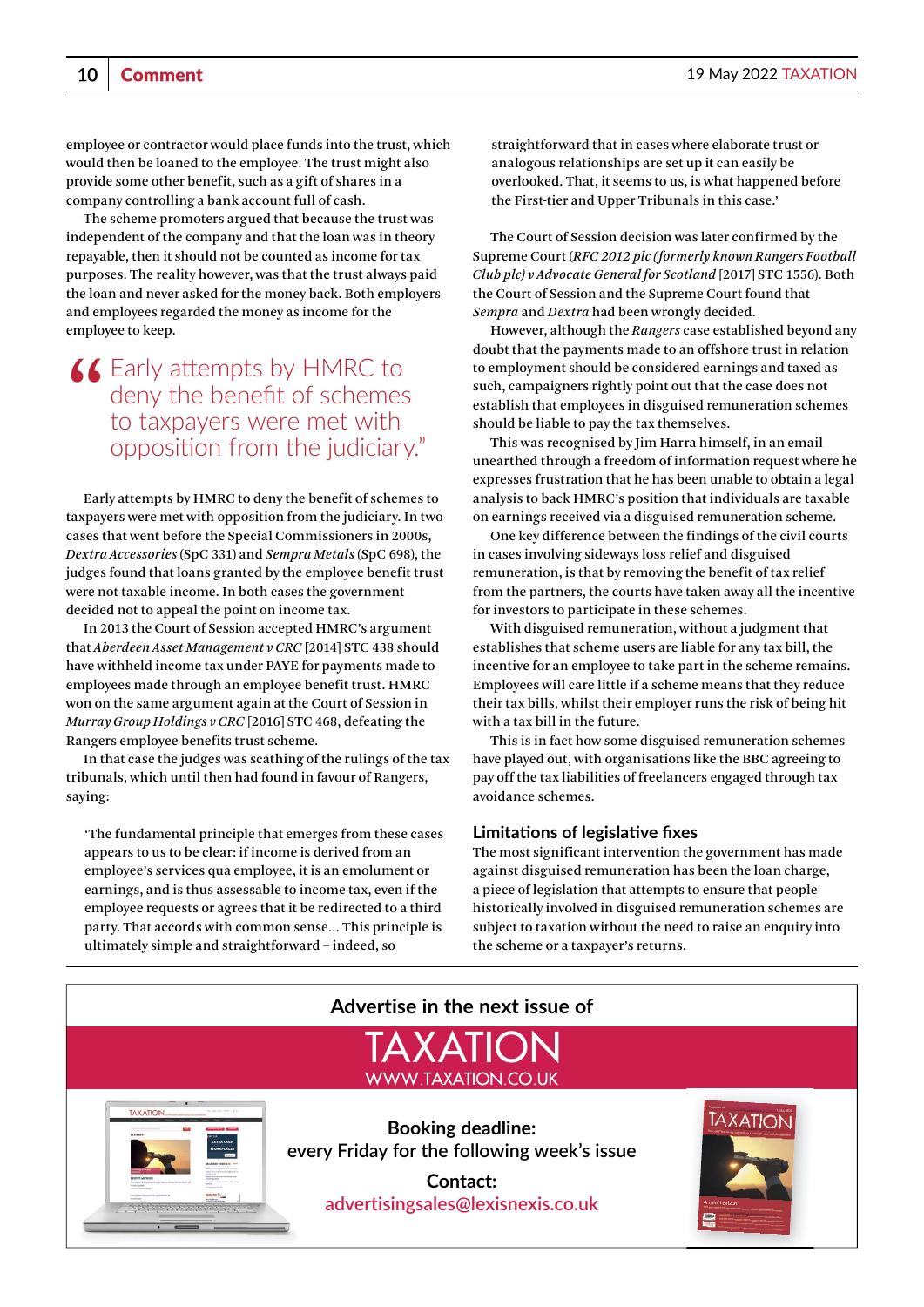employee or contractor would place funds into the trust, which would then be loaned to the employee. The trust might also provide some other benefit, such as a gift of shares in a company controlling a bank account full of cash.

The scheme promoters argued that because the trust was independent of the company and that the loan was in theory repayable, then it should not be counted as income for tax purposes. The reality however, was that the trust always paid the loan and never asked for the money back. Both employers and employees regarded the money as income for the employee to keep.

# "Early attempts by HMRC to to taxpayers were met with deny the benefit of schemes opposition from the judiciary."

Early attempts by HMRC to deny the benefit of schemes to taxpayers were met with opposition from the judiciary. In two cases that went before the Special Commissioners in 2000s, *Dextra Accessories* (SpC 331) and *Sempra Metals* (SpC 698), the judges found that loans granted by the employee benefit trust were not taxable income. In both cases the government decided not to appeal the point on income tax.

In 2013 the Court of Session accepted HMRC's argument that *Aberdeen Asset Management v CRC* [2014] STC 438 should have withheld income tax under PAYE for payments made to employees made through an employee benefit trust. HMRC won on the same argument again at the Court of Session in *Murray Group Holdings v CRC* [2016] STC 468, defeating the Rangers employee benefits trust scheme.

In that case the judges was scathing of the rulings of the tax tribunals, which until then had found in favour of Rangers, saying:

'The fundamental principle that emerges from these cases appears to us to be clear: if income is derived from an employee's services qua employee, it is an emolument or earnings, and is thus assessable to income tax, even if the employee requests or agrees that it be redirected to a third party. That accords with common sense… This principle is ultimately simple and straightforward – indeed, so

straightforward that in cases where elaborate trust or analogous relationships are set up it can easily be overlooked. That, it seems to us, is what happened before the First-tier and Upper Tribunals in this case.'

The Court of Session decision was later confirmed by the Supreme Court (*RFC 2012 plc (formerly known Rangers Football Club plc) v Advocate General for Scotland* [2017] STC 1556). Both the Court of Session and the Supreme Court found that *Sempra* and *Dextra* had been wrongly decided.

However, although the *Rangers* case established beyond any doubt that the payments made to an offshore trust in relation to employment should be considered earnings and taxed as such, campaigners rightly point out that the case does not establish that employees in disguised remuneration schemes should be liable to pay the tax themselves.

This was recognised by Jim Harra himself, in an email unearthed through a freedom of information request where he expresses frustration that he has been unable to obtain a legal analysis to back HMRC's position that individuals are taxable on earnings received via a disguised remuneration scheme.

One key difference between the findings of the civil courts in cases involving sideways loss relief and disguised remuneration, is that by removing the benefit of tax relief from the partners, the courts have taken away all the incentive for investors to participate in these schemes.

With disguised remuneration, without a judgment that establishes that scheme users are liable for any tax bill, the incentive for an employee to take part in the scheme remains. Employees will care little if a scheme means that they reduce their tax bills, whilst their employer runs the risk of being hit with a tax bill in the future.

This is in fact how some disguised remuneration schemes have played out, with organisations like the BBC agreeing to pay off the tax liabilities of freelancers engaged through tax avoidance schemes.

### **Limitations of legislative fixes**

The most significant intervention the government has made against disguised remuneration has been the loan charge, a piece of legislation that attempts to ensure that people historically involved in disguised remuneration schemes are subject to taxation without the need to raise an enquiry into the scheme or a taxpayer's returns.